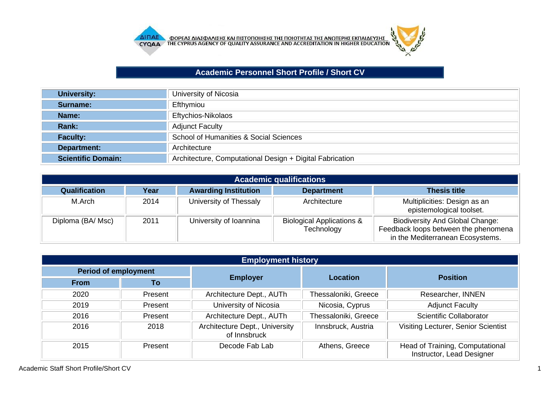

## **Academic Personnel Short Profile / Short CV**

| University:               | University of Nicosia                                    |
|---------------------------|----------------------------------------------------------|
| Surname:                  | Efthymiou                                                |
| Name:                     | Eftychios-Nikolaos                                       |
| Rank:                     | <b>Adjunct Faculty</b>                                   |
| <b>Faculty:</b>           | School of Humanities & Social Sciences                   |
| Department:               | Architecture                                             |
| <b>Scientific Domain:</b> | Architecture, Computational Design + Digital Fabrication |

| <b>Academic qualifications</b> |      |                             |                                                    |                                                                                                                    |  |
|--------------------------------|------|-----------------------------|----------------------------------------------------|--------------------------------------------------------------------------------------------------------------------|--|
| <b>Qualification</b>           | Year | <b>Awarding Institution</b> | <b>Department</b>                                  | <b>Thesis title</b>                                                                                                |  |
| M.Arch                         | 2014 | University of Thessaly      | Architecture                                       | Multiplicities: Design as an<br>epistemological toolset.                                                           |  |
| Diploma (BA/ Msc)              | 2011 | University of Ioannina      | <b>Biological Applications &amp;</b><br>Technology | <b>Biodiversity And Global Change:</b><br>Feedback loops between the phenomena<br>in the Mediterranean Ecosystems. |  |

| <b>Employment history</b> |         |                                                |                      |                                                              |  |
|---------------------------|---------|------------------------------------------------|----------------------|--------------------------------------------------------------|--|
| Period of employment      |         | <b>Employer</b>                                | Location             |                                                              |  |
| <b>From</b>               | To      |                                                |                      | <b>Position</b>                                              |  |
| 2020                      | Present | Architecture Dept., AUTh                       | Thessaloniki, Greece | Researcher, INNEN                                            |  |
| 2019                      | Present | University of Nicosia                          | Nicosia, Cyprus      | <b>Adjunct Faculty</b>                                       |  |
| 2016                      | Present | Architecture Dept., AUTh                       | Thessaloniki, Greece | Scientific Collaborator                                      |  |
| 2016                      | 2018    | Architecture Dept., University<br>of Innsbruck | Innsbruck, Austria   | Visiting Lecturer, Senior Scientist                          |  |
| 2015                      | Present | Decode Fab Lab                                 | Athens, Greece       | Head of Training, Computational<br>Instructor, Lead Designer |  |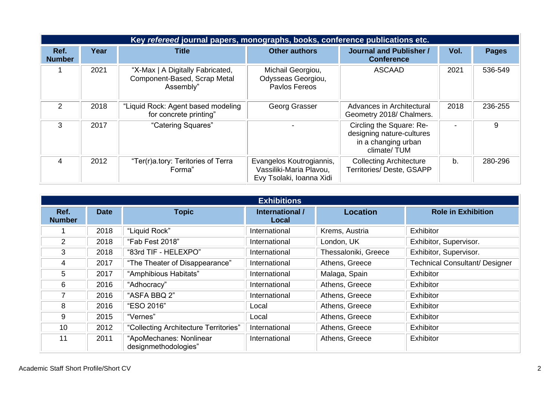|                       | Key refereed journal papers, monographs, books, conference publications etc. |                                                                               |                                                                                 |                                                                                             |      |              |  |
|-----------------------|------------------------------------------------------------------------------|-------------------------------------------------------------------------------|---------------------------------------------------------------------------------|---------------------------------------------------------------------------------------------|------|--------------|--|
| Ref.<br><b>Number</b> | Year                                                                         | Title                                                                         | <b>Other authors</b>                                                            | <b>Journal and Publisher /</b><br><b>Conference</b>                                         | Vol. | <b>Pages</b> |  |
|                       | 2021                                                                         | "X-Max   A Digitally Fabricated,<br>Component-Based, Scrap Metal<br>Assembly" | Michail Georgiou,<br>Odysseas Georgiou,<br>Pavlos Fereos                        | <b>ASCAAD</b>                                                                               | 2021 | 536-549      |  |
| 2                     | 2018                                                                         | "Liquid Rock: Agent based modeling<br>for concrete printing"                  | Georg Grasser                                                                   | Advances in Architectural<br>Geometry 2018/ Chalmers.                                       | 2018 | 236-255      |  |
| 3                     | 2017                                                                         | "Catering Squares"                                                            |                                                                                 | Circling the Square: Re-<br>designing nature-cultures<br>in a changing urban<br>climate/TUM |      | 9            |  |
| 4                     | 2012                                                                         | "Ter(r)a.tory: Teritories of Terra<br>Forma"                                  | Evangelos Koutrogiannis,<br>Vassiliki-Maria Plavou,<br>Evy Tsolaki, Ioanna Xidi | <b>Collecting Architecture</b><br>Territories/ Deste, GSAPP                                 | b.   | 280-296      |  |

| <b>Exhibitions</b>    |             |                                                 |                          |                      |                                       |  |
|-----------------------|-------------|-------------------------------------------------|--------------------------|----------------------|---------------------------------------|--|
| Ref.<br><b>Number</b> | <b>Date</b> | <b>Topic</b>                                    | International /<br>Local | <b>Location</b>      | <b>Role in Exhibition</b>             |  |
|                       | 2018        | "Liquid Rock"                                   | International            | Krems, Austria       | <b>Exhibitor</b>                      |  |
| 2                     | 2018        | "Fab Fest 2018"                                 | International            | London, UK           | Exhibitor, Supervisor.                |  |
| 3                     | 2018        | "83rd TIF - HELEXPO"                            | International            | Thessaloniki, Greece | Exhibitor, Supervisor.                |  |
| 4                     | 2017        | "The Theater of Disappearance"                  | International            | Athens, Greece       | <b>Technical Consultant/ Designer</b> |  |
| 5                     | 2017        | "Amphibious Habitats"                           | International            | Malaga, Spain        | Exhibitor                             |  |
| 6                     | 2016        | "Adhocracy"                                     | International            | Athens, Greece       | Exhibitor                             |  |
| 7                     | 2016        | "ASFA BBQ 2"                                    | International            | Athens, Greece       | Exhibitor                             |  |
| 8                     | 2016        | "ESO 2016"                                      | Local                    | Athens, Greece       | Exhibitor                             |  |
| 9                     | 2015        | "Vernes"                                        | Local                    | Athens, Greece       | Exhibitor                             |  |
| 10                    | 2012        | "Collecting Architecture Territories"           | International            | Athens, Greece       | Exhibitor                             |  |
| 11                    | 2011        | "ApoMechanes: Nonlinear<br>designmethodologies" | International            | Athens, Greece       | Exhibitor                             |  |